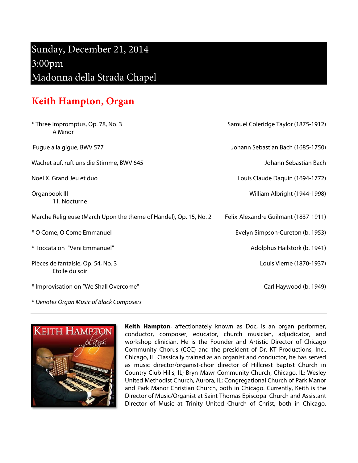## Sunday, December 21, 2014 3:00pm Madonna della Strada Chapel

## **Keith Hampton, Organ**

| * Three Impromptus, Op. 78, No. 3<br>A Minor                      | Samuel Coleridge Taylor (1875-1912)  |
|-------------------------------------------------------------------|--------------------------------------|
| Fugue a la gigue, BWV 577                                         | Johann Sebastian Bach (1685-1750)    |
| Wachet auf, ruft uns die Stimme, BWV 645                          | Johann Sebastian Bach                |
| Noel X. Grand Jeu et duo                                          | Louis Claude Daquin (1694-1772)      |
| Organbook III<br>11. Nocturne                                     | William Albright (1944-1998)         |
| Marche Religieuse (March Upon the theme of Handel), Op. 15, No. 2 | Felix-Alexandre Guilmant (1837-1911) |
| * O Come, O Come Emmanuel                                         | Evelyn Simpson-Cureton (b. 1953)     |
| * Toccata on "Veni Emmanuel"                                      | Adolphus Hailstork (b. 1941)         |
| Pièces de fantaisie, Op. 54, No. 3<br>Etoile du soir              | Louis Vierne (1870-1937)             |
| * Improvisation on "We Shall Overcome"                            | Carl Haywood (b. 1949)               |
| * Denotes Organ Music of Black Composers                          |                                      |



**Keith Hampton**, affectionately known as Doc, is an organ performer, conductor, composer, educator, church musician, adjudicator, and workshop clinician. He is the Founder and Artistic Director of Chicago Community Chorus (CCC) and the president of Dr. KT Productions, Inc., Chicago, IL. Classically trained as an organist and conductor, he has served as music director/organist-choir director of Hillcrest Baptist Church in Country Club Hills, IL; Bryn Mawr Community Church, Chicago, IL; Wesley United Methodist Church, Aurora, IL; Congregational Church of Park Manor and Park Manor Christian Church, both in Chicago. Currently, Keith is the Director of Music/Organist at Saint Thomas Episcopal Church and Assistant Director of Music at Trinity United Church of Christ, both in Chicago.